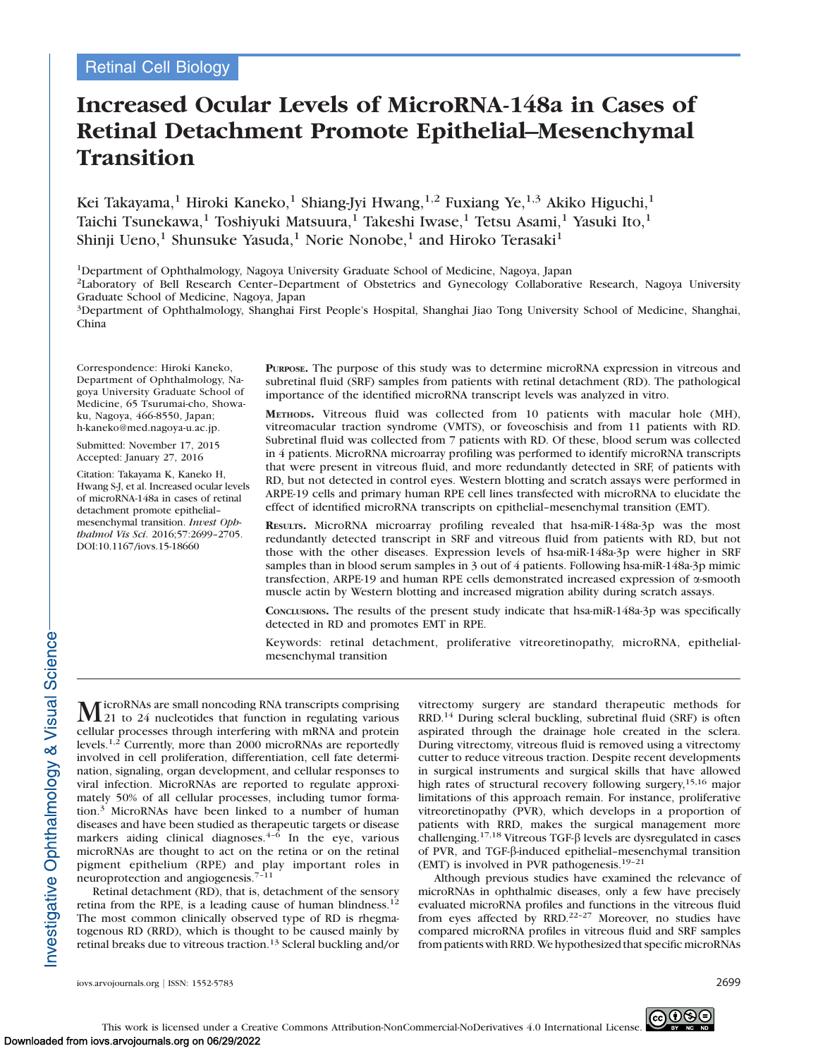# Increased Ocular Levels of MicroRNA-148a in Cases of Retinal Detachment Promote Epithelial–Mesenchymal Transition

Kei Takayama,<sup>1</sup> Hiroki Kaneko,<sup>1</sup> Shiang-Jyi Hwang,<sup>1,2</sup> Fuxiang Ye,<sup>1,3</sup> Akiko Higuchi,<sup>1</sup> Taichi Tsunekawa,<sup>1</sup> Toshiyuki Matsuura,<sup>1</sup> Takeshi Iwase,<sup>1</sup> Tetsu Asami,<sup>1</sup> Yasuki Ito,<sup>1</sup> Shinji Ueno,<sup>1</sup> Shunsuke Yasuda,<sup>1</sup> Norie Nonobe,<sup>1</sup> and Hiroko Terasaki<sup>1</sup>

1Department of Ophthalmology, Nagoya University Graduate School of Medicine, Nagoya, Japan

2Laboratory of Bell Research Center–Department of Obstetrics and Gynecology Collaborative Research, Nagoya University Graduate School of Medicine, Nagoya, Japan

3Department of Ophthalmology, Shanghai First People's Hospital, Shanghai Jiao Tong University School of Medicine, Shanghai, China

Correspondence: Hiroki Kaneko, Department of Ophthalmology, Nagoya University Graduate School of Medicine, 65 Tsurumai-cho, Showaku, Nagoya, 466-8550, Japan; h-kaneko@med.nagoya-u.ac.jp.

Submitted: November 17, 2015 Accepted: January 27, 2016

Citation: Takayama K, Kaneko H, Hwang S-J, et al. Increased ocular levels of microRNA-148a in cases of retinal detachment promote epithelial– mesenchymal transition. Invest Ophthalmol Vis Sci. 2016;57:2699–2705. DOI:10.1167/iovs.15-18660

PURPOSE. The purpose of this study was to determine microRNA expression in vitreous and subretinal fluid (SRF) samples from patients with retinal detachment (RD). The pathological importance of the identified microRNA transcript levels was analyzed in vitro.

METHODS. Vitreous fluid was collected from 10 patients with macular hole (MH), vitreomacular traction syndrome (VMTS), or foveoschisis and from 11 patients with RD. Subretinal fluid was collected from 7 patients with RD. Of these, blood serum was collected in 4 patients. MicroRNA microarray profiling was performed to identify microRNA transcripts that were present in vitreous fluid, and more redundantly detected in SRF, of patients with RD, but not detected in control eyes. Western blotting and scratch assays were performed in ARPE-19 cells and primary human RPE cell lines transfected with microRNA to elucidate the effect of identified microRNA transcripts on epithelial–mesenchymal transition (EMT).

RESULTS. MicroRNA microarray profiling revealed that hsa-miR-148a-3p was the most redundantly detected transcript in SRF and vitreous fluid from patients with RD, but not those with the other diseases. Expression levels of hsa-miR-148a-3p were higher in SRF samples than in blood serum samples in 3 out of 4 patients. Following hsa-miR-148a-3p mimic transfection, ARPE-19 and human RPE cells demonstrated increased expression of a-smooth muscle actin by Western blotting and increased migration ability during scratch assays.

CONCLUSIONS. The results of the present study indicate that hsa-miR-148a-3p was specifically detected in RD and promotes EMT in RPE.

Keywords: retinal detachment, proliferative vitreoretinopathy, microRNA, epithelialmesenchymal transition

MicroRNAs are small noncoding RNA transcripts comprising<br>21 to 24 nucleotides that function in regulating various cellular processes through interfering with mRNA and protein levels.1,2 Currently, more than 2000 microRNAs are reportedly involved in cell proliferation, differentiation, cell fate determination, signaling, organ development, and cellular responses to viral infection. MicroRNAs are reported to regulate approximately 50% of all cellular processes, including tumor formation.<sup>3</sup> MicroRNAs have been linked to a number of human diseases and have been studied as therapeutic targets or disease markers aiding clinical diagnoses. $4-6$  In the eye, various microRNAs are thought to act on the retina or on the retinal pigment epithelium (RPE) and play important roles in neuroprotection and angiogenesis.7–11

Retinal detachment (RD), that is, detachment of the sensory retina from the RPE, is a leading cause of human blindness.<sup>12</sup> The most common clinically observed type of RD is rhegmatogenous RD (RRD), which is thought to be caused mainly by retinal breaks due to vitreous traction.<sup>13</sup> Scleral buckling and/or vitrectomy surgery are standard therapeutic methods for RRD.14 During scleral buckling, subretinal fluid (SRF) is often aspirated through the drainage hole created in the sclera. During vitrectomy, vitreous fluid is removed using a vitrectomy cutter to reduce vitreous traction. Despite recent developments in surgical instruments and surgical skills that have allowed high rates of structural recovery following surgery,<sup>15,16</sup> major limitations of this approach remain. For instance, proliferative vitreoretinopathy (PVR), which develops in a proportion of patients with RRD, makes the surgical management more challenging.<sup>17,18</sup> Vitreous TGF- $\beta$  levels are dysregulated in cases of PVR, and TGF-b-induced epithelial–mesenchymal transition (EMT) is involved in PVR pathogenesis.19–21

Although previous studies have examined the relevance of microRNAs in ophthalmic diseases, only a few have precisely evaluated microRNA profiles and functions in the vitreous fluid from eyes affected by RRD.<sup>22-27</sup> Moreover, no studies have compared microRNA profiles in vitreous fluid and SRF samples from patients with RRD. We hypothesized that specific microRNAs

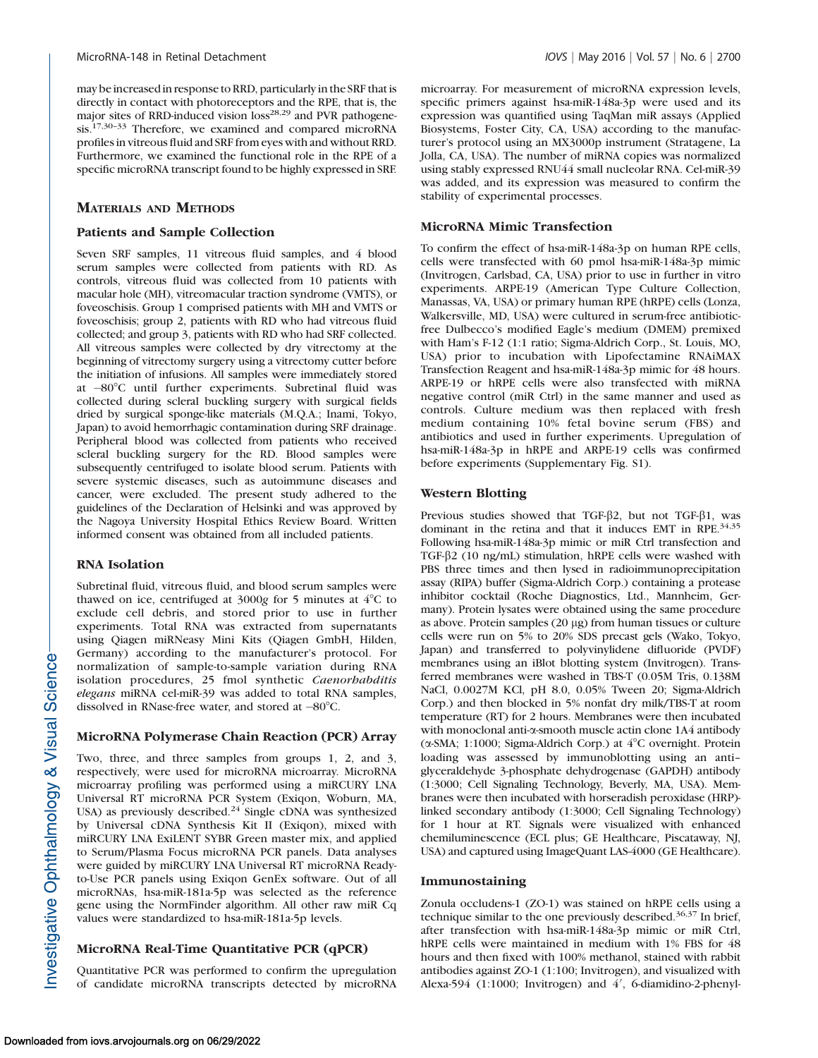may be increased in response to RRD, particularly in the SRF that is directly in contact with photoreceptors and the RPE, that is, the major sites of RRD-induced vision loss<sup>28,29</sup> and PVR pathogenesis.17,30–33 Therefore, we examined and compared microRNA profiles in vitreous fluid and SRF from eyes with and without RRD. Furthermore, we examined the functional role in the RPE of a specific microRNA transcript found to be highly expressed in SRF.

## MATERIALS AND METHODS

## Patients and Sample Collection

Seven SRF samples, 11 vitreous fluid samples, and 4 blood serum samples were collected from patients with RD. As controls, vitreous fluid was collected from 10 patients with macular hole (MH), vitreomacular traction syndrome (VMTS), or foveoschisis. Group 1 comprised patients with MH and VMTS or foveoschisis; group 2, patients with RD who had vitreous fluid collected; and group 3, patients with RD who had SRF collected. All vitreous samples were collected by dry vitrectomy at the beginning of vitrectomy surgery using a vitrectomy cutter before the initiation of infusions. All samples were immediately stored at -80°C until further experiments. Subretinal fluid was collected during scleral buckling surgery with surgical fields dried by surgical sponge-like materials (M.Q.A.; Inami, Tokyo, Japan) to avoid hemorrhagic contamination during SRF drainage. Peripheral blood was collected from patients who received scleral buckling surgery for the RD. Blood samples were subsequently centrifuged to isolate blood serum. Patients with severe systemic diseases, such as autoimmune diseases and cancer, were excluded. The present study adhered to the guidelines of the Declaration of Helsinki and was approved by the Nagoya University Hospital Ethics Review Board. Written informed consent was obtained from all included patients.

## RNA Isolation

Subretinal fluid, vitreous fluid, and blood serum samples were thawed on ice, centrifuged at  $3000g$  for 5 minutes at  $4^{\circ}$ C to exclude cell debris, and stored prior to use in further experiments. Total RNA was extracted from supernatants using Qiagen miRNeasy Mini Kits (Qiagen GmbH, Hilden, Germany) according to the manufacturer's protocol. For normalization of sample-to-sample variation during RNA isolation procedures, 25 fmol synthetic Caenorhabditis elegans miRNA cel-miR-39 was added to total RNA samples, dissolved in RNase-free water, and stored at  $-80^{\circ}$ C.

## MicroRNA Polymerase Chain Reaction (PCR) Array

Two, three, and three samples from groups 1, 2, and 3, respectively, were used for microRNA microarray. MicroRNA microarray profiling was performed using a miRCURY LNA Universal RT microRNA PCR System (Exiqon, Woburn, MA, USA) as previously described.<sup>24</sup> Single cDNA was synthesized by Universal cDNA Synthesis Kit II (Exiqon), mixed with miRCURY LNA ExiLENT SYBR Green master mix, and applied to Serum/Plasma Focus microRNA PCR panels. Data analyses were guided by miRCURY LNA Universal RT microRNA Readyto-Use PCR panels using Exiqon GenEx software. Out of all microRNAs, hsa-miR-181a-5p was selected as the reference gene using the NormFinder algorithm. All other raw miR Cq values were standardized to hsa-miR-181a-5p levels.

# MicroRNA Real-Time Quantitative PCR (qPCR)

Quantitative PCR was performed to confirm the upregulation of candidate microRNA transcripts detected by microRNA microarray. For measurement of microRNA expression levels, specific primers against hsa-miR-148a-3p were used and its expression was quantified using TaqMan miR assays (Applied Biosystems, Foster City, CA, USA) according to the manufacturer's protocol using an MX3000p instrument (Stratagene, La Jolla, CA, USA). The number of miRNA copies was normalized using stably expressed RNU44 small nucleolar RNA. Cel-miR-39 was added, and its expression was measured to confirm the stability of experimental processes.

## MicroRNA Mimic Transfection

To confirm the effect of hsa-miR-148a-3p on human RPE cells, cells were transfected with 60 pmol hsa-miR-148a-3p mimic (Invitrogen, Carlsbad, CA, USA) prior to use in further in vitro experiments. ARPE-19 (American Type Culture Collection, Manassas, VA, USA) or primary human RPE (hRPE) cells (Lonza, Walkersville, MD, USA) were cultured in serum-free antibioticfree Dulbecco's modified Eagle's medium (DMEM) premixed with Ham's F-12 (1:1 ratio; Sigma-Aldrich Corp., St. Louis, MO, USA) prior to incubation with Lipofectamine RNAiMAX Transfection Reagent and hsa-miR-148a-3p mimic for 48 hours. ARPE-19 or hRPE cells were also transfected with miRNA negative control (miR Ctrl) in the same manner and used as controls. Culture medium was then replaced with fresh medium containing 10% fetal bovine serum (FBS) and antibiotics and used in further experiments. Upregulation of hsa-miR-148a-3p in hRPE and ARPE-19 cells was confirmed before experiments (Supplementary Fig. S1).

## Western Blotting

Previous studies showed that TGF- $\beta$ 2, but not TGF- $\beta$ 1, was dominant in the retina and that it induces EMT in RPE.<sup>34,35</sup> Following hsa-miR-148a-3p mimic or miR Ctrl transfection and TGF-b2 (10 ng/mL) stimulation, hRPE cells were washed with PBS three times and then lysed in radioimmunoprecipitation assay (RIPA) buffer (Sigma-Aldrich Corp.) containing a protease inhibitor cocktail (Roche Diagnostics, Ltd., Mannheim, Germany). Protein lysates were obtained using the same procedure as above. Protein samples  $(20 \mu g)$  from human tissues or culture cells were run on 5% to 20% SDS precast gels (Wako, Tokyo, Japan) and transferred to polyvinylidene difluoride (PVDF) membranes using an iBlot blotting system (Invitrogen). Transferred membranes were washed in TBS-T (0.05M Tris, 0.138M NaCl, 0.0027M KCl, pH 8.0, 0.05% Tween 20; Sigma-Aldrich Corp.) and then blocked in 5% nonfat dry milk/TBS-T at room temperature (RT) for 2 hours. Membranes were then incubated with monoclonal anti- $\alpha$ -smooth muscle actin clone 1A4 antibody ( $\alpha$ -SMA; 1:1000; Sigma-Aldrich Corp.) at  $4^{\circ}$ C overnight. Protein loading was assessed by immunoblotting using an anti– glyceraldehyde 3-phosphate dehydrogenase (GAPDH) antibody (1:3000; Cell Signaling Technology, Beverly, MA, USA). Membranes were then incubated with horseradish peroxidase (HRP) linked secondary antibody (1:3000; Cell Signaling Technology) for 1 hour at RT. Signals were visualized with enhanced chemiluminescence (ECL plus; GE Healthcare, Piscataway, NJ, USA) and captured using ImageQuant LAS-4000 (GE Healthcare).

## Immunostaining

Zonula occludens-1 (ZO-1) was stained on hRPE cells using a technique similar to the one previously described.<sup>36,37</sup> In brief, after transfection with hsa-miR-148a-3p mimic or miR Ctrl, hRPE cells were maintained in medium with 1% FBS for 48 hours and then fixed with 100% methanol, stained with rabbit antibodies against ZO-1 (1:100; Invitrogen), and visualized with Alexa-594 (1:1000; Invitrogen) and  $4'$ , 6-diamidino-2-phenyl-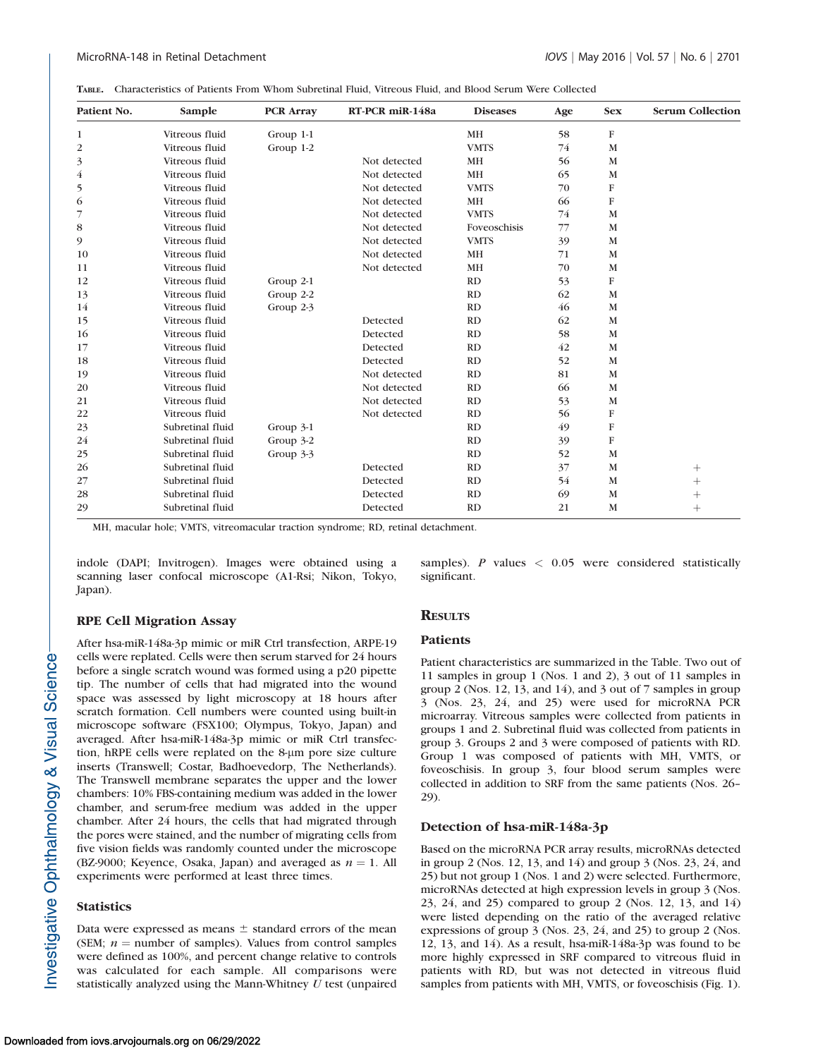|  | TABLE. Characteristics of Patients From Whom Subretinal Fluid, Vitreous Fluid, and Blood Serum Were Collected |  |  |  |  |  |  |  |  |  |  |  |  |
|--|---------------------------------------------------------------------------------------------------------------|--|--|--|--|--|--|--|--|--|--|--|--|
|--|---------------------------------------------------------------------------------------------------------------|--|--|--|--|--|--|--|--|--|--|--|--|

| Patient No.    | Sample           | <b>PCR Array</b> | RT-PCR miR-148a | <b>Diseases</b> | Age | <b>Sex</b> | <b>Serum Collection</b> |
|----------------|------------------|------------------|-----------------|-----------------|-----|------------|-------------------------|
| 1              | Vitreous fluid   | Group 1-1        |                 | <b>MH</b>       | 58  | $\rm F$    |                         |
| $\overline{c}$ | Vitreous fluid   | Group 1-2        |                 | <b>VMTS</b>     | 74  | M          |                         |
| 3              | Vitreous fluid   |                  | Not detected    | <b>MH</b>       | 56  | M          |                         |
| $\overline{4}$ | Vitreous fluid   |                  | Not detected    | <b>MH</b>       | 65  | M          |                         |
| 5              | Vitreous fluid   |                  | Not detected    | <b>VMTS</b>     | 70  | $\rm F$    |                         |
| 6              | Vitreous fluid   |                  | Not detected    | <b>MH</b>       | 66  | ${\bf F}$  |                         |
| 7              | Vitreous fluid   |                  | Not detected    | <b>VMTS</b>     | 74  | M          |                         |
| 8              | Vitreous fluid   |                  | Not detected    | Foveoschisis    | 77  | M          |                         |
| 9              | Vitreous fluid   |                  | Not detected    | <b>VMTS</b>     | 39  | M          |                         |
| 10             | Vitreous fluid   |                  | Not detected    | <b>MH</b>       | 71  | M          |                         |
| 11             | Vitreous fluid   |                  | Not detected    | <b>MH</b>       | 70  | M          |                         |
| 12             | Vitreous fluid   | Group 2-1        |                 | RD              | 53  | ${\bf F}$  |                         |
| 13             | Vitreous fluid   | Group 2-2        |                 | RD              | 62  | M          |                         |
| 14             | Vitreous fluid   | Group 2-3        |                 | RD              | 46  | M          |                         |
| 15             | Vitreous fluid   |                  | Detected        | RD              | 62  | M          |                         |
| 16             | Vitreous fluid   |                  | Detected        | RD              | 58  | M          |                         |
| 17             | Vitreous fluid   |                  | Detected        | RD              | 42  | M          |                         |
| 18             | Vitreous fluid   |                  | Detected        | RD              | 52  | M          |                         |
| 19             | Vitreous fluid   |                  | Not detected    | RD              | 81  | M          |                         |
| 20             | Vitreous fluid   |                  | Not detected    | RD              | 66  | M          |                         |
| 21             | Vitreous fluid   |                  | Not detected    | RD              | 53  | M          |                         |
| 22             | Vitreous fluid   |                  | Not detected    | RD              | 56  | F          |                         |
| 23             | Subretinal fluid | Group 3-1        |                 | RD              | 49  | F          |                         |
| 24             | Subretinal fluid | Group 3-2        |                 | RD              | 39  | F          |                         |
| 25             | Subretinal fluid | Group 3-3        |                 | RD              | 52  | M          |                         |
| 26             | Subretinal fluid |                  | Detected        | RD              | 37  | M          | $^{+}$                  |
| 27             | Subretinal fluid |                  | Detected        | RD              | 54  | M          | $^{+}$                  |
| 28             | Subretinal fluid |                  | Detected        | RD              | 69  | M          |                         |
| 29             | Subretinal fluid |                  | Detected        | RD              | 21  | M          | $^{+}$                  |

MH, macular hole; VMTS, vitreomacular traction syndrome; RD, retinal detachment.

indole (DAPI; Invitrogen). Images were obtained using a scanning laser confocal microscope (A1-Rsi; Nikon, Tokyo, Japan).

#### RPE Cell Migration Assay

After hsa-miR-148a-3p mimic or miR Ctrl transfection, ARPE-19 cells were replated. Cells were then serum starved for 24 hours before a single scratch wound was formed using a p20 pipette tip. The number of cells that had migrated into the wound space was assessed by light microscopy at 18 hours after scratch formation. Cell numbers were counted using built-in microscope software (FSX100; Olympus, Tokyo, Japan) and averaged. After hsa-miR-148a-3p mimic or miR Ctrl transfection, hRPE cells were replated on the 8-µm pore size culture inserts (Transwell; Costar, Badhoevedorp, The Netherlands). The Transwell membrane separates the upper and the lower chambers: 10% FBS-containing medium was added in the lower chamber, and serum-free medium was added in the upper chamber. After 24 hours, the cells that had migrated through the pores were stained, and the number of migrating cells from five vision fields was randomly counted under the microscope (BZ-9000; Keyence, Osaka, Japan) and averaged as  $n = 1$ . All experiments were performed at least three times.

#### **Statistics**

Data were expressed as means  $\pm$  standard errors of the mean (SEM;  $n =$  number of samples). Values from control samples were defined as 100%, and percent change relative to controls was calculated for each sample. All comparisons were statistically analyzed using the Mann-Whitney  $U$  test (unpaired samples). P values  $\langle 0.05 \rangle$  were considered statistically significant.

## **RESULTS**

#### **Patients**

Patient characteristics are summarized in the Table. Two out of 11 samples in group 1 (Nos. 1 and 2), 3 out of 11 samples in group 2 (Nos. 12, 13, and 14), and 3 out of 7 samples in group 3 (Nos. 23, 24, and 25) were used for microRNA PCR microarray. Vitreous samples were collected from patients in groups 1 and 2. Subretinal fluid was collected from patients in group 3. Groups 2 and 3 were composed of patients with RD. Group 1 was composed of patients with MH, VMTS, or foveoschisis. In group 3, four blood serum samples were collected in addition to SRF from the same patients (Nos. 26– 29).

#### Detection of hsa-miR-148a-3p

Based on the microRNA PCR array results, microRNAs detected in group 2 (Nos. 12, 13, and 14) and group 3 (Nos. 23, 24, and 25) but not group 1 (Nos. 1 and 2) were selected. Furthermore, microRNAs detected at high expression levels in group 3 (Nos. 23, 24, and 25) compared to group 2 (Nos. 12, 13, and 14) were listed depending on the ratio of the averaged relative expressions of group 3 (Nos. 23, 24, and 25) to group 2 (Nos. 12, 13, and 14). As a result, hsa-miR-148a-3p was found to be more highly expressed in SRF compared to vitreous fluid in patients with RD, but was not detected in vitreous fluid samples from patients with MH, VMTS, or foveoschisis (Fig. 1).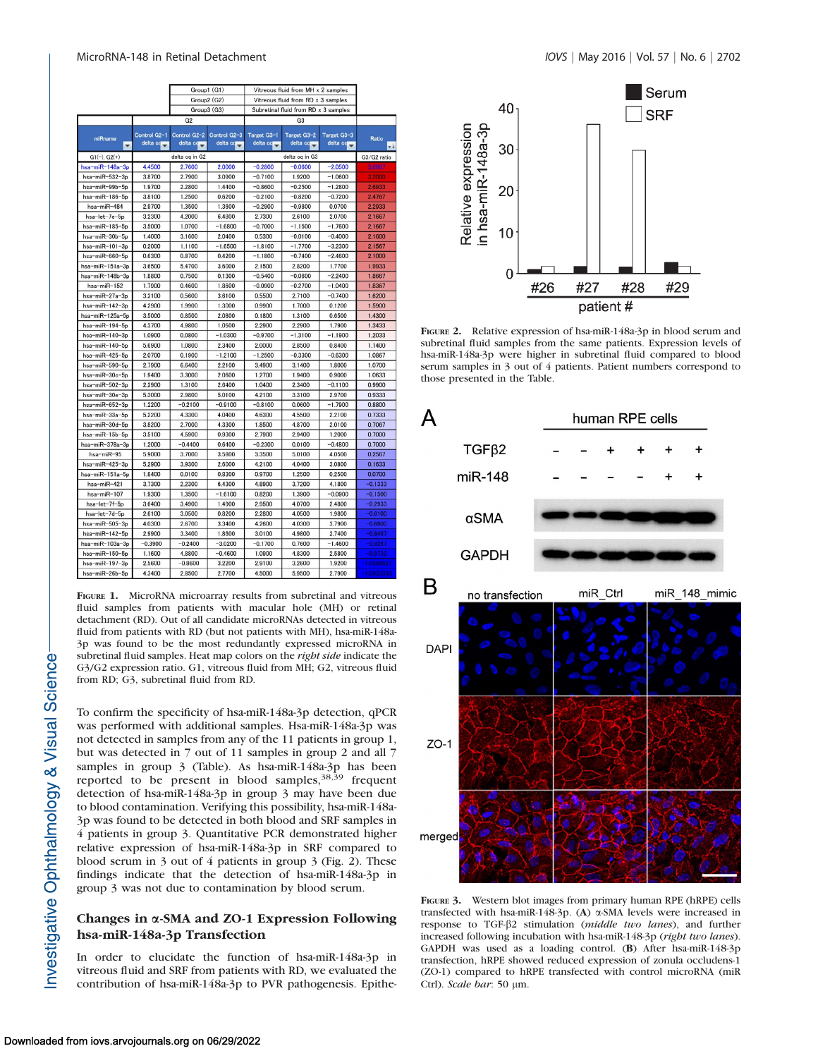|                            |                          |                          | Group1 (G1)              | Vitreous fluid from MH x 2 samples   |                         |                         |                     |  |  |
|----------------------------|--------------------------|--------------------------|--------------------------|--------------------------------------|-------------------------|-------------------------|---------------------|--|--|
|                            |                          |                          | Group2 (G2)              | Vitreous fluid from RD x 3 samples   |                         |                         |                     |  |  |
|                            |                          |                          | Group3 (G3)              | Subretinal fluid from RD x 3 samples |                         |                         |                     |  |  |
|                            |                          | G <sub>2</sub>           |                          |                                      |                         |                         |                     |  |  |
|                            |                          |                          |                          |                                      |                         |                         |                     |  |  |
| miRname                    | Control G2-1<br>delta co | Control G2-2<br>delta co | Control G2-3<br>delta co | Target G3-1<br>delta co              | Target G3-2<br>delta co | Target G3-3<br>delta co | Ratio               |  |  |
| $\overline{\phantom{a}}$   |                          |                          |                          |                                      |                         |                         | $+1$<br>G3/G2 ratio |  |  |
| $G1(-)$ , $G2(+)$          |                          | delta cq in G2           |                          |                                      | delta cq in G3          |                         |                     |  |  |
| hsa-miR-148a-3p            | 4.4500                   | 2.7600                   | 2.0000                   | $-0.2800$                            | $-0.0600$               | $-2.0500$               | 3,8667              |  |  |
| hsa-miR-532-3p             | 3.8700                   | 2.7900                   | 3.0900                   | $-0.7100$                            | 1.9200                  | $-1.0600$               | 3.2000              |  |  |
| hsa-miR-99b-5p             | 1.9700                   | 2.2800                   | 1.4400                   | $-0.8600$                            | $-0.2500$               | $-1.2800$               | 2.6933              |  |  |
| hsa-miR-186-5p             | 3.8100                   | 1.2500                   | 0.6200                   | $-0.2100$                            | $-0.8200$               | $-0.7200$               | 2.4767              |  |  |
| hsa-miR-484                | 2.9700                   | 1.3500                   | 1.3600                   | $-0.2900$                            | $-0.9800$               | 0.0700                  | 2.2933              |  |  |
| hsa-let-7e-5p              | 3.2300                   | 4.2000                   | 6.4800                   | 2.7300                               | 2.6100                  | 2.0700                  | 2.1667              |  |  |
| hsa-miR-185-5p             | 3.5000                   | 1.0700                   | $-1.6800$                | $-0.7000$                            | $-1.1500$               | $-1.7600$               | 2.1667              |  |  |
| hsa-miR-30b-5p             | 1.4000                   | 3.1600                   | 2.0400                   | 0.5300                               | $-0.0100$               | $-0.4000$               | 2.1600              |  |  |
| hsa-miR-101-3p             | 0.2000                   | 1.1100                   | $-1.6500$                | $-1.8100$                            | $-1.7700$               | $-3.2300$               | 2.1567              |  |  |
| hsa-miR-660-5p             | 0.6300                   | 0.8700                   | 0.4200                   | $-1.1800$                            | $-0.7400$               | $-2.4600$               | 2.1000              |  |  |
| hsa-miR-151a-3p            | 3.6500                   | 5.4700                   | 3.6000                   | 2.1500                               | 2.8200                  | 1.7700                  | 1.9933              |  |  |
| hsa-miR-148b-3p            | 1.8800                   | 0.7500                   | 0.1300                   | $-0.5400$                            | $-0.0600$               | $-2.2400$               | 1.8667              |  |  |
| hsa-miR-152                | 1.7900                   | 0.4600                   | 1.8600                   | $-0.0900$                            | $-0.2700$               | $-1.0400$               | 1.8367              |  |  |
| hsa-miR-27a-3p             | 3.2100                   | 0.5600                   | 3.6100                   | 0.5500                               | 2.7100                  | $-0.7400$               | 1.6200              |  |  |
| hsa-miR-142-3p             | 4.2900                   | 1.9900                   | 1.3000                   | 0.9900                               | 1.7000                  | 0.1200                  | 1.5900              |  |  |
| hsa-miR-125a-5p            | 3.5000                   | 0.8500                   | 2.0800                   | 0.1800                               | 1.3100                  | 0.6500                  | 1.4300              |  |  |
| hsa $-miR-194-5p$          | 4.3700                   | 4.9800                   | 1.0500                   | 2.2900                               | 2.2900                  | 1.7900                  | 1.3433              |  |  |
| hsa-miR-140-3p             | 1.0900                   | 0.0800                   | $-1.0300$                | $-0.9700$                            | $-1.3100$               | $-1.1900$               | 1.2033              |  |  |
| hsa-miR-140-5p             | 5.6900                   | 1.0800                   | 2.3400                   | 2.0000                               | 2.8500                  | 0.8400                  | 1.1400              |  |  |
| hsa-miR-425-5p             | 2.0700                   | 0.1900                   | $-1.2100$                | $-1.2500$                            | $-0.3300$               | $-0.6300$               | 1.0867              |  |  |
| hsa-miR-590-5p             | 2.7900                   | 6.6400                   | 2.2100                   | 3.4900                               | 3.1400                  | 1.8000                  | 1.0700              |  |  |
| hsa-miR-30c-5p             | 1.9400                   | 3.3000                   | 2.0600                   | 1.2700                               | 1.9400                  | 0.9000                  | 1.0633              |  |  |
| hsa-miR-502-3p             | 2.2900                   | 1.3100                   | 2.6400                   | 1.0400                               | 2.3400                  | $-0.1100$               | 0.9900              |  |  |
| hsa-miR-30e-3p             | 5.3000                   | 2.9800                   | 5.0100                   | 4.2100                               | 3.3100                  | 2.9700                  | 0.9333              |  |  |
| hsa-miR-652-3p             | 1.2200                   | $-0.2100$                | $-0.9100$                | $-0.8100$                            | 0.0600                  | $-1.7900$               | 0.8800              |  |  |
| hsa-miR-33a-5p             | 5.2200                   | 4.3300                   | 4.0400                   | 4.6300                               | 4.5500                  | 2.2100                  | 0.7333              |  |  |
| hsa-miR-30d-5p             | 3.8200                   | 2.7000                   | 4.3300                   | 1.8500                               | 4.8700                  | 2.0100                  | 0.7067              |  |  |
| hsa-miR-15b-5p             | 3.5100                   | 4.5900                   | 0.9300                   | 2.7900                               | 2.9400                  | 1.2000                  | 0.7000              |  |  |
| hsa-miR-378a-3p            | 1.2000                   | $-0.4400$                | 0.6400                   | $-0.2300$                            | 0.0100                  | $-0.4800$               | 0.7000              |  |  |
| hsa-miR-95                 | 5.9000                   | 3.7000                   | 3.5800                   | 3.3500                               | 5.0100                  | 4.0500                  | 0.2567              |  |  |
| hsa-miR-425-3p             | 5.2900                   | 3.9300                   | 2.6000                   | 4.2100                               | 4.0400                  | 3.0800                  | 0.1633              |  |  |
| hsa-miR-151a-5p            | 1.8400                   | 0.0100                   | 0.8300                   | 0.9700                               | 1.2500                  | 0.2500                  | 0.0700              |  |  |
| hsa-miR-421                | 3.7300                   | 2.2300                   | 6.4300                   | 4.8900                               | 3.7200                  | 4.1800                  | $-0.1333$           |  |  |
| hsa-miR-107                | 1,9300                   | 1.3500                   | $-1.6100$                | 0.8200                               | 1.3900                  | $-0.0900$               | $-0.1500$           |  |  |
| hsa-let-7f-5p              | 3.6400                   | 3.4900                   | 1.4900                   | 2.9500                               | 4.0700                  | 2.4800                  | $-0.2933$           |  |  |
| hsa-let-7d-5p              | 2.6100                   | 3.0500                   | 0.8200                   | 2.2800                               | 4.0500                  | 1.9800                  | $-0.6100$           |  |  |
| hsa-miR-505-3p             | 4.0300                   | 2.6700                   | 3.3400                   | 4.2600                               | 4.0300                  | 3.7900                  | $-0.6800$           |  |  |
| hsa-miR-142-5p             | 2.9900                   | 3.3400                   | 1.8600                   | 3.0100                               | 4.9800                  | 2.7400                  | $-0.8467$           |  |  |
| hsa-miR-103a-3p            | $-0.3900$                | $-0.2400$                | $-3.0200$                | $-0.1700$                            | 0.7600                  | $-1.4600$               | $-0.9267$           |  |  |
| hsa-miR-150-5p             | 1.1600                   | 4.8800                   | $-0.4600$                | 1.0900                               | 4.8300                  | 2,5800                  | $-0.9733$           |  |  |
| hsa-miR-197-3p             | 2.5600                   | $-0.8600$                | 3.2200                   | 2.9100                               | 3.2600                  | 1.9200                  | 1.0566667           |  |  |
| $h_{20} = m(D - 26h - 5m)$ | 12100                    | 2.9500                   | 2.7700                   | 45000                                | E OEOO                  | 2.7000                  |                     |  |  |

FIGURE 1. MicroRNA microarray results from subretinal and vitreous fluid samples from patients with macular hole (MH) or retinal detachment (RD). Out of all candidate microRNAs detected in vitreous fluid from patients with RD (but not patients with MH), hsa-miR-148a-3p was found to be the most redundantly expressed microRNA in subretinal fluid samples. Heat map colors on the right side indicate the G3/G2 expression ratio. G1, vitreous fluid from MH; G2, vitreous fluid from RD; G3, subretinal fluid from RD.

To confirm the specificity of hsa-miR-148a-3p detection, qPCR was performed with additional samples. Hsa-miR-148a-3p was not detected in samples from any of the 11 patients in group 1, but was detected in 7 out of 11 samples in group 2 and all 7 samples in group 3 (Table). As hsa-miR-148a-3p has been reported to be present in blood samples, 38,39 frequent detection of hsa-miR-148a-3p in group 3 may have been due to blood contamination. Verifying this possibility, hsa-miR-148a-3p was found to be detected in both blood and SRF samples in 4 patients in group 3. Quantitative PCR demonstrated higher relative expression of hsa-miR-148a-3p in SRF compared to blood serum in 3 out of 4 patients in group 3 (Fig. 2). These findings indicate that the detection of hsa-miR-148a-3p in group 3 was not due to contamination by blood serum.

# Changes in a-SMA and ZO-1 Expression Following hsa-miR-148a-3p Transfection

In order to elucidate the function of hsa-miR-148a-3p in vitreous fluid and SRF from patients with RD, we evaluated the contribution of hsa-miR-148a-3p to PVR pathogenesis. Epithe-



FIGURE 2. Relative expression of hsa-miR-148a-3p in blood serum and subretinal fluid samples from the same patients. Expression levels of hsa-miR-148a-3p were higher in subretinal fluid compared to blood serum samples in 3 out of 4 patients. Patient numbers correspond to those presented in the Table.



FIGURE 3. Western blot images from primary human RPE (hRPE) cells transfected with hsa-miR-148-3p. (A) a-SMA levels were increased in response to TGF-b2 stimulation (middle two lanes), and further increased following incubation with hsa-miR-148-3p (right two lanes). GAPDH was used as a loading control. (B) After hsa-miR-148-3p transfection, hRPE showed reduced expression of zonula occludens-1 (ZO-1) compared to hRPE transfected with control microRNA (miR Ctrl). Scale bar: 50 µm.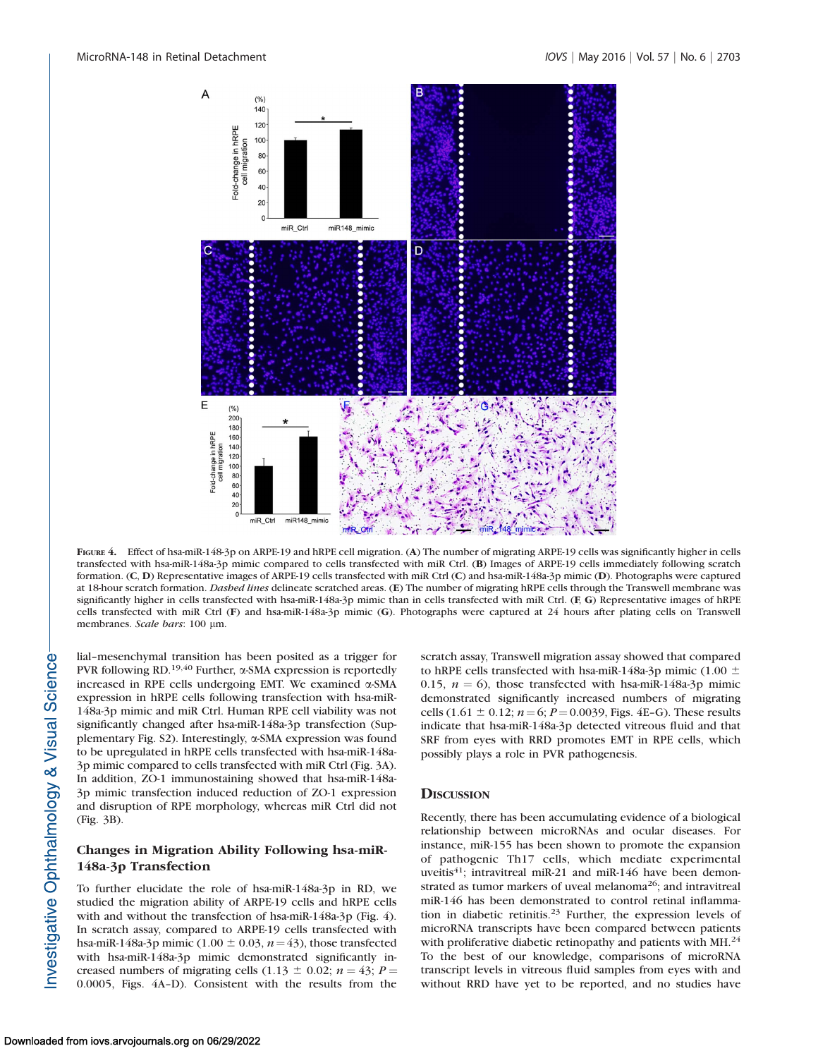

FIGURE 4. Effect of hsa-miR-148-3p on ARPE-19 and hRPE cell migration. (A) The number of migrating ARPE-19 cells was significantly higher in cells transfected with hsa-miR-148a-3p mimic compared to cells transfected with miR Ctrl. (B) Images of ARPE-19 cells immediately following scratch formation. (C, D) Representative images of ARPE-19 cells transfected with miR Ctrl (C) and hsa-miR-148a-3p mimic (D). Photographs were captured at 18-hour scratch formation. Dashed lines delineate scratched areas. (E) The number of migrating hRPE cells through the Transwell membrane was significantly higher in cells transfected with hsa-miR-148a-3p mimic than in cells transfected with miR Ctrl. (F, G) Representative images of hRPE cells transfected with miR Ctrl (F) and hsa-miR-148a-3p mimic (G). Photographs were captured at 24 hours after plating cells on Transwell membranes. Scale bars: 100 µm.

lial–mesenchymal transition has been posited as a trigger for PVR following RD.<sup>19,40</sup> Further,  $\alpha$ -SMA expression is reportedly increased in RPE cells undergoing EMT. We examined a-SMA expression in hRPE cells following transfection with hsa-miR-148a-3p mimic and miR Ctrl. Human RPE cell viability was not significantly changed after hsa-miR-148a-3p transfection (Supplementary Fig. S2). Interestingly, a-SMA expression was found to be upregulated in hRPE cells transfected with hsa-miR-148a-3p mimic compared to cells transfected with miR Ctrl (Fig. 3A). In addition, ZO-1 immunostaining showed that hsa-miR-148a-3p mimic transfection induced reduction of ZO-1 expression and disruption of RPE morphology, whereas miR Ctrl did not (Fig. 3B).

## Changes in Migration Ability Following hsa-miR-148a-3p Transfection

To further elucidate the role of hsa-miR-148a-3p in RD, we studied the migration ability of ARPE-19 cells and hRPE cells with and without the transfection of hsa-miR-148a-3p (Fig. 4). In scratch assay, compared to ARPE-19 cells transfected with hsa-miR-148a-3p mimic (1.00  $\pm$  0.03, n = 43), those transfected with hsa-miR-148a-3p mimic demonstrated significantly increased numbers of migrating cells (1.13  $\pm$  0.02; n = 43; P = 0.0005, Figs. 4A–D). Consistent with the results from the scratch assay, Transwell migration assay showed that compared to hRPE cells transfected with hsa-miR-148a-3p mimic (1.00  $\pm$ 0.15,  $n = 6$ ), those transfected with hsa-miR-148a-3p mimic demonstrated significantly increased numbers of migrating cells (1.61  $\pm$  0.12; n = 6; P = 0.0039, Figs. 4E–G). These results indicate that hsa-miR-148a-3p detected vitreous fluid and that SRF from eyes with RRD promotes EMT in RPE cells, which possibly plays a role in PVR pathogenesis.

### **DISCUSSION**

Recently, there has been accumulating evidence of a biological relationship between microRNAs and ocular diseases. For instance, miR-155 has been shown to promote the expansion of pathogenic Th17 cells, which mediate experimental uveitis<sup>41</sup>; intravitreal miR-21 and miR-146 have been demonstrated as tumor markers of uveal melanoma<sup>26</sup>; and intravitreal miR-146 has been demonstrated to control retinal inflammation in diabetic retinitis.<sup>23</sup> Further, the expression levels of microRNA transcripts have been compared between patients with proliferative diabetic retinopathy and patients with MH.<sup>24</sup> To the best of our knowledge, comparisons of microRNA transcript levels in vitreous fluid samples from eyes with and without RRD have yet to be reported, and no studies have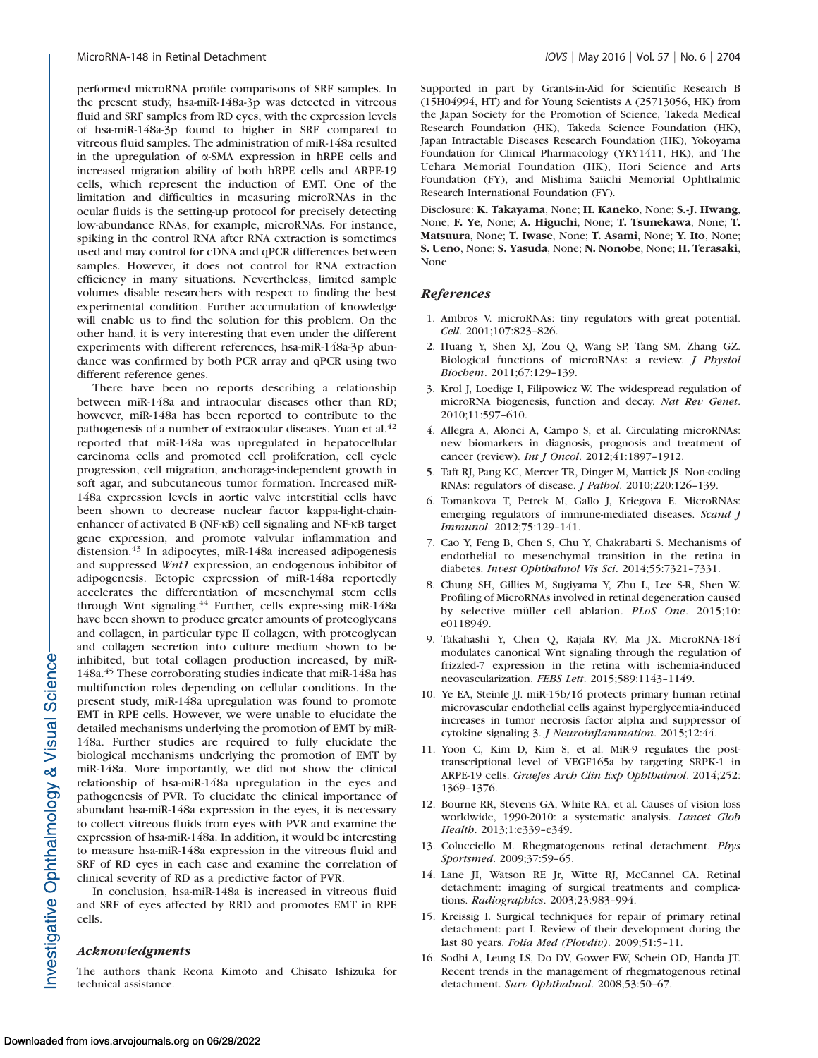performed microRNA profile comparisons of SRF samples. In the present study, hsa-miR-148a-3p was detected in vitreous fluid and SRF samples from RD eyes, with the expression levels of hsa-miR-148a-3p found to higher in SRF compared to vitreous fluid samples. The administration of miR-148a resulted in the upregulation of  $\alpha$ -SMA expression in hRPE cells and increased migration ability of both hRPE cells and ARPE-19 cells, which represent the induction of EMT. One of the limitation and difficulties in measuring microRNAs in the ocular fluids is the setting-up protocol for precisely detecting low-abundance RNAs, for example, microRNAs. For instance, spiking in the control RNA after RNA extraction is sometimes used and may control for cDNA and qPCR differences between samples. However, it does not control for RNA extraction efficiency in many situations. Nevertheless, limited sample volumes disable researchers with respect to finding the best experimental condition. Further accumulation of knowledge will enable us to find the solution for this problem. On the other hand, it is very interesting that even under the different experiments with different references, hsa-miR-148a-3p abundance was confirmed by both PCR array and qPCR using two different reference genes.

There have been no reports describing a relationship between miR-148a and intraocular diseases other than RD; however, miR-148a has been reported to contribute to the pathogenesis of a number of extraocular diseases. Yuan et al.<sup>42</sup> reported that miR-148a was upregulated in hepatocellular carcinoma cells and promoted cell proliferation, cell cycle progression, cell migration, anchorage-independent growth in soft agar, and subcutaneous tumor formation. Increased miR-148a expression levels in aortic valve interstitial cells have been shown to decrease nuclear factor kappa-light-chainenhancer of activated B (NF-KB) cell signaling and NF-KB target gene expression, and promote valvular inflammation and distension.<sup>43</sup> In adipocytes, miR-148a increased adipogenesis and suppressed Wnt1 expression, an endogenous inhibitor of adipogenesis. Ectopic expression of miR-148a reportedly accelerates the differentiation of mesenchymal stem cells through Wnt signaling.<sup>44</sup> Further, cells expressing miR-148a have been shown to produce greater amounts of proteoglycans and collagen, in particular type II collagen, with proteoglycan and collagen secretion into culture medium shown to be inhibited, but total collagen production increased, by miR-148a.<sup>45</sup> These corroborating studies indicate that miR-148a has multifunction roles depending on cellular conditions. In the present study, miR-148a upregulation was found to promote EMT in RPE cells. However, we were unable to elucidate the detailed mechanisms underlying the promotion of EMT by miR-148a. Further studies are required to fully elucidate the biological mechanisms underlying the promotion of EMT by miR-148a. More importantly, we did not show the clinical relationship of hsa-miR-148a upregulation in the eyes and pathogenesis of PVR. To elucidate the clinical importance of abundant hsa-miR-148a expression in the eyes, it is necessary to collect vitreous fluids from eyes with PVR and examine the expression of hsa-miR-148a. In addition, it would be interesting to measure hsa-miR-148a expression in the vitreous fluid and SRF of RD eyes in each case and examine the correlation of clinical severity of RD as a predictive factor of PVR.

In conclusion, hsa-miR-148a is increased in vitreous fluid and SRF of eyes affected by RRD and promotes EMT in RPE cells.

#### Acknowledgments

The authors thank Reona Kimoto and Chisato Ishizuka for technical assistance.

Supported in part by Grants-in-Aid for Scientific Research B (15H04994, HT) and for Young Scientists A (25713056, HK) from the Japan Society for the Promotion of Science, Takeda Medical Research Foundation (HK), Takeda Science Foundation (HK), Japan Intractable Diseases Research Foundation (HK), Yokoyama Foundation for Clinical Pharmacology (YRY1411, HK), and The Uehara Memorial Foundation (HK), Hori Science and Arts Foundation (FY), and Mishima Saiichi Memorial Ophthalmic Research International Foundation (FY).

Disclosure: K. Takayama, None; H. Kaneko, None; S.-J. Hwang, None; F. Ye, None; A. Higuchi, None; T. Tsunekawa, None; T. Matsuura, None; T. Iwase, None; T. Asami, None; Y. Ito, None; S. Ueno, None; S. Yasuda, None; N. Nonobe, None; H. Terasaki, None

## References

- 1. Ambros V. microRNAs: tiny regulators with great potential. Cell. 2001;107:823–826.
- 2. Huang Y, Shen XJ, Zou Q, Wang SP, Tang SM, Zhang GZ. Biological functions of microRNAs: a review. J Physiol Biochem. 2011;67:129–139.
- 3. Krol J, Loedige I, Filipowicz W. The widespread regulation of microRNA biogenesis, function and decay. Nat Rev Genet. 2010;11:597–610.
- 4. Allegra A, Alonci A, Campo S, et al. Circulating microRNAs: new biomarkers in diagnosis, prognosis and treatment of cancer (review). Int J Oncol. 2012;41:1897–1912.
- 5. Taft RJ, Pang KC, Mercer TR, Dinger M, Mattick JS. Non-coding RNAs: regulators of disease. J Pathol. 2010;220:126–139.
- 6. Tomankova T, Petrek M, Gallo J, Kriegova E. MicroRNAs: emerging regulators of immune-mediated diseases. Scand J Immunol. 2012;75:129–141.
- 7. Cao Y, Feng B, Chen S, Chu Y, Chakrabarti S. Mechanisms of endothelial to mesenchymal transition in the retina in diabetes. Invest Ophthalmol Vis Sci. 2014;55:7321–7331.
- 8. Chung SH, Gillies M, Sugiyama Y, Zhu L, Lee S-R, Shen W. Profiling of MicroRNAs involved in retinal degeneration caused by selective müller cell ablation. PLoS One. 2015;10: e0118949.
- 9. Takahashi Y, Chen Q, Rajala RV, Ma JX. MicroRNA-184 modulates canonical Wnt signaling through the regulation of frizzled-7 expression in the retina with ischemia-induced neovascularization. FEBS Lett. 2015;589:1143–1149.
- 10. Ye EA, Steinle JJ. miR-15b/16 protects primary human retinal microvascular endothelial cells against hyperglycemia-induced increases in tumor necrosis factor alpha and suppressor of cytokine signaling 3. J Neuroinflammation. 2015;12:44.
- 11. Yoon C, Kim D, Kim S, et al. MiR-9 regulates the posttranscriptional level of VEGF165a by targeting SRPK-1 in ARPE-19 cells. Graefes Arch Clin Exp Ophthalmol. 2014;252: 1369–1376.
- 12. Bourne RR, Stevens GA, White RA, et al. Causes of vision loss worldwide, 1990-2010: a systematic analysis. Lancet Glob Health. 2013;1:e339–e349.
- 13. Colucciello M. Rhegmatogenous retinal detachment. Phys Sportsmed. 2009;37:59–65.
- 14. Lane JI, Watson RE Jr, Witte RJ, McCannel CA. Retinal detachment: imaging of surgical treatments and complications. Radiographics. 2003;23:983–994.
- 15. Kreissig I. Surgical techniques for repair of primary retinal detachment: part I. Review of their development during the last 80 years. Folia Med (Plovdiv). 2009;51:5–11.
- 16. Sodhi A, Leung LS, Do DV, Gower EW, Schein OD, Handa JT. Recent trends in the management of rhegmatogenous retinal detachment. Surv Ophthalmol. 2008;53:50–67.